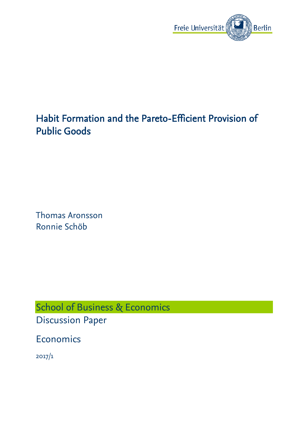

# Habit Formation and the Pareto-Efficient Provision of Public Goods

Thomas Aronsson Ronnie Schöb

School of Business & Economics Discussion Paper

Economics

2017/1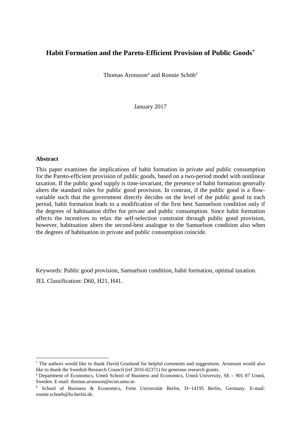## **Habit Formation and the Pareto-Efficient Provision of Public Goods[\\*](#page-1-0)**

Thom[a](#page-1-1)[s](#page-1-2) Aronsson<sup>a</sup> and Ronnie Schöb<sup>s</sup>

January 2017

#### **Abstract**

 $\overline{a}$ 

This paper examines the implications of habit formation in private and public consumption for the Pareto-efficient provision of public goods, based on a two-period model with nonlinear taxation. If the public good supply is time-invariant, the presence of habit formation generally alters the standard rules for public good provision. In contrast, if the public good is a flowvariable such that the government directly decides on the level of the public good in each period, habit formation leads to a modification of the first best Samuelson condition only if the degrees of habituation differ for private and public consumption. Since habit formation affects the incentives to relax the self-selection constraint through public good provision, however, habituation alters the second-best analogue to the Samuelson condition also when the degrees of habituation in private and public consumption coincide.

Keywords: Public good provision, Samuelson condition, habit formation, optimal taxation. JEL Classification: D60, H21, H41.

<span id="page-1-0"></span><sup>\*</sup> The authors would like to thank David Granlund for helpful comments and suggestions. Aronsson would also like to thank the Swedish Research Council (ref 2016-02371) for generous research grants.

<span id="page-1-1"></span><sup>a</sup> Department of Economics, Umeå School of Business and Economics, Umeå University, SE – 901 87 Umeå, Sweden. E-mail: thomas.aronsson@econ.umu.se.

<span id="page-1-2"></span><sup>s</sup> School of Business & Economics, Freie Universität Berlin, D–14195 Berlin, Germany. E-mail: ronnie.schoeb@fu-berlin.de.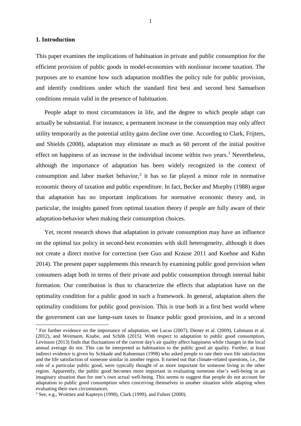#### **1. Introduction**

**.** 

This paper examines the implications of habituation in private and public consumption for the efficient provision of public goods in model-economies with nonlinear income taxation. The purposes are to examine how such adaptation modifies the policy rule for public provision, and identify conditions under which the standard first best and second best Samuelson conditions remain valid in the presence of habituation.

People adapt to most circumstances in life, and the degree to which people adapt can actually be substantial. For instance, a permanent increase in the consumption may only affect utility temporarily as the potential utility gains decline over time. According to Clark, Frijters, and Shields (2008), adaptation may eliminate as much as 60 percent of the initial positive effect on happiness of an increase in the individual income within two years.<sup>[1](#page-2-0)</sup> Nevertheless, although the importance of adaptation has been widely recognized in the context of consumption and labor market behavior.<sup>[2](#page-2-1)</sup> it has so far played a minor role in normative economic theory of taxation and public expenditure. In fact, Becker and Murphy (1988) argue that adaptation has no important implications for normative economic theory and, in particular, the insights gained from optimal taxation theory if people are fully aware of their adaptation-behavior when making their consumption choices.

Yet, recent research shows that adaptation in private consumption may have an influence on the optimal tax policy in second-best economies with skill heterogeneity, although it does not create a direct motive for correction (see Guo and Krause 2011 and Koehne and Kuhn 2014). The present paper supplements this research by examining public good provision when consumers adapt both in terms of their private and public consumption through internal habit formation. Our contribution is thus to characterize the effects that adaptation have on the optimality condition for a public good in such a framework. In general, adaptation alters the optimality conditions for public good provision. This is true both in a first best world where the government can use lump-sum taxes to finance public good provision, and in a second

<span id="page-2-0"></span><sup>&</sup>lt;sup>1</sup> For further evidence on the importance of adaptation, see Lucas (2007), Diener et al. (2009), Luhmann et al. (2012), and Weimann, Knabe, and Schöb (2015). With respect to adaptation to public good consumption, Levinson (2013) finds that fluctuations of the current day's air quality affect happiness while changes in the local annual average do not. This can be interpreted as habituation to the public good air quality. Further, at least indirect evidence is given by Schkade and Kahneman (1998) who asked people to rate their own life satisfaction and the life satisfaction of someone similar in another region. It turned out that climate-related questions, i.e., the role of a particular public good, were typically thought of as more important for someone living in the other region. Apparently, the public good becomes more important in evaluating someone else's well-being in an imaginary situation than for one's own actual well-being. This seems to suggest that people do not account for adaptation to public good consumption when conceiving themselves in another situation while adapting when evaluating their own circumstances.

<span id="page-2-1"></span><sup>&</sup>lt;sup>2</sup> See, e.g., Woittiez and Kapteyn (1998), Clark (1999), and Fuhrer (2000).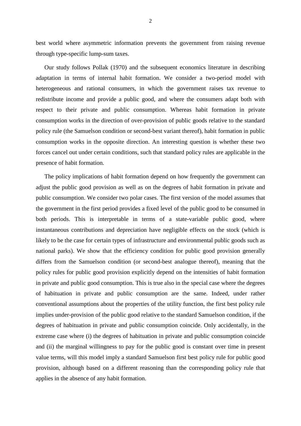best world where asymmetric information prevents the government from raising revenue through type-specific lump-sum taxes.

Our study follows Pollak (1970) and the subsequent economics literature in describing adaptation in terms of internal habit formation. We consider a two-period model with heterogeneous and rational consumers, in which the government raises tax revenue to redistribute income and provide a public good, and where the consumers adapt both with respect to their private and public consumption. Whereas habit formation in private consumption works in the direction of over-provision of public goods relative to the standard policy rule (the Samuelson condition or second-best variant thereof), habit formation in public consumption works in the opposite direction. An interesting question is whether these two forces cancel out under certain conditions, such that standard policy rules are applicable in the presence of habit formation.

The policy implications of habit formation depend on how frequently the government can adjust the public good provision as well as on the degrees of habit formation in private and public consumption. We consider two polar cases. The first version of the model assumes that the government in the first period provides a fixed level of the public good to be consumed in both periods. This is interpretable in terms of a state-variable public good, where instantaneous contributions and depreciation have negligible effects on the stock (which is likely to be the case for certain types of infrastructure and environmental public goods such as national parks). We show that the efficiency condition for public good provision generally differs from the Samuelson condition (or second-best analogue thereof), meaning that the policy rules for public good provision explicitly depend on the intensities of habit formation in private and public good consumption. This is true also in the special case where the degrees of habituation in private and public consumption are the same. Indeed, under rather conventional assumptions about the properties of the utility function, the first best policy rule implies under-provision of the public good relative to the standard Samuelson condition, if the degrees of habituation in private and public consumption coincide. Only accidentally, in the extreme case where (i) the degrees of habituation in private and public consumption coincide and (ii) the marginal willingness to pay for the public good is constant over time in present value terms, will this model imply a standard Samuelson first best policy rule for public good provision, although based on a different reasoning than the corresponding policy rule that applies in the absence of any habit formation.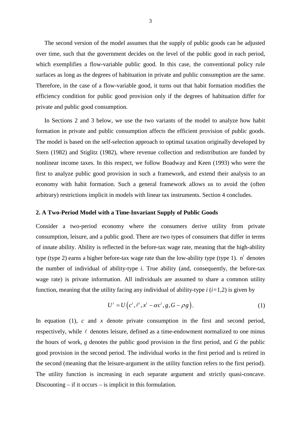The second version of the model assumes that the supply of public goods can be adjusted over time, such that the government decides on the level of the public good in each period, which exemplifies a flow-variable public good. In this case, the conventional policy rule surfaces as long as the degrees of habituation in private and public consumption are the same. Therefore, in the case of a flow-variable good, it turns out that habit formation modifies the efficiency condition for public good provision only if the degrees of habituation differ for private and public good consumption.

In Sections 2 and 3 below, we use the two variants of the model to analyze how habit formation in private and public consumption affects the efficient provision of public goods. The model is based on the self-selection approach to optimal taxation originally developed by Stern (1982) and Stiglitz (1982), where revenue collection and redistribution are funded by nonlinear income taxes. In this respect, we follow Boadway and Keen (1993) who were the first to analyze public good provision in such a framework, and extend their analysis to an economy with habit formation. Such a general framework allows us to avoid the (often arbitrary) restrictions implicit in models with linear tax instruments. Section 4 concludes.

#### **2. A Two-Period Model with a Time-Invariant Supply of Public Goods**

Consider a two-period economy where the consumers derive utility from private consumption, leisure, and a public good. There are two types of consumers that differ in terms of innate ability. Ability is reflected in the before-tax wage rate, meaning that the high-ability type (type 2) earns a higher before-tax wage rate than the low-ability type (type 1).  $n^{i}$  denotes the number of individual of ability-type *i*. True ability (and, consequently, the before-tax wage rate) is private information. All individuals are assumed to share a common utility function, meaning that the utility facing any individual of ability-type *i* (*i=*1,2) is given by

$$
U^i = U\left(c^i, \ell^i, x^i - \alpha c^i, g, G - \rho g\right). \tag{1}
$$

In equation (1), *c* and *x* denote private consumption in the first and second period, respectively, while  $\ell$  denotes leisure, defined as a time-endowment normalized to one minus the hours of work, *g* denotes the public good provision in the first period, and *G* the public good provision in the second period. The individual works in the first period and is retired in the second (meaning that the leisure-argument in the utility function refers to the first period). The utility function is increasing in each separate argument and strictly quasi-concave. Discounting – if it occurs – is implicit in this formulation.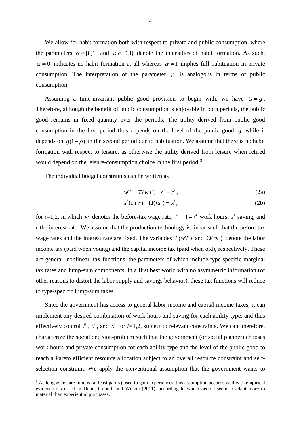We allow for habit formation both with respect to private and public consumption, where the parameters  $\alpha \in [0,1]$  and  $\rho \in [0,1]$  denote the intensities of habit formation. As such,  $\alpha = 0$  indicates no habit formation at all whereas  $\alpha = 1$  implies full habituation in private consumption. The interpretation of the parameter  $\rho$  is analogous in terms of public consumption.

Assuming a time-invariant public good provision to begin with, we have  $G = g$ . Therefore, although the benefit of public consumption is enjoyable in both periods, the public good remains in fixed quantity over the periods. The utility derived from public good consumption in the first period thus depends on the level of the public good, *g*, while it depends on  $g(1 - \rho)$  in the second period due to habituation. We assume that there is no habit formation with respect to leisure, as otherwise the utility derived from leisure when retired would depend on the leisure-consumption choice in the first period.<sup>[3](#page-5-0)</sup>

The individual budget constraints can be written as

**.** 

$$
w^{i}l^{i} - T(w^{i}l^{i}) - s^{i} = c^{i}, \qquad (2a)
$$

$$
s^{i}(1+r) - \Omega(rs^{i}) = x^{i}, \qquad (2b)
$$

for *i*=1,2, in which  $w^i$  denotes the before-tax wage rate,  $l^i = 1 - l^i$  work hours,  $s^i$  saving, and *r* the interest rate. We assume that the production technology is linear such that the before-tax wage rates and the interest rate are fixed. The variables  $T(w^{i} l^{i})$  and  $\Omega (rs^{i})$  denote the labor income tax (paid when young) and the capital income tax (paid when old), respectively. These are general, nonlinear, tax functions, the parameters of which include type-specific marginal tax rates and lump-sum components. In a first best world with no asymmetric information (or other reasons to distort the labor supply and savings behavior), these tax functions will reduce to type-specific lump-sum taxes.

Since the government has access to general labor income and capital income taxes, it can implement any desired combination of work hours and saving for each ability-type, and thus effectively control  $l^i$ ,  $c^i$ , and  $x^i$  for  $i=1,2$ , subject to relevant constraints. We can, therefore, characterize the social decision-problem such that the government (or social planner) chooses work hours and private consumption for each ability-type and the level of the public good to reach a Pareto efficient resource allocation subject to an overall resource constraint and selfselection constraint. We apply the conventional assumption that the government wants to

<span id="page-5-0"></span> $3$  As long as leisure time is (at least partly) used to gain experiences, this assumption accords well with empirical evidence discussed in Dunn, Gilbert, and Wilson (2011), according to which people seem to adapt more to material than experiential purchases.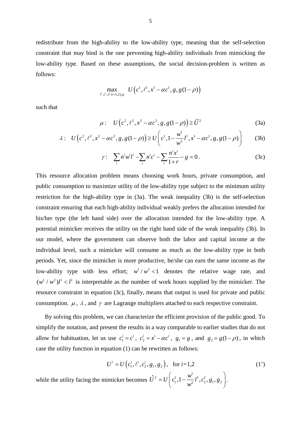redistribute from the high-ability to the low-ability type, meaning that the self-selection constraint that may bind is the one preventing high-ability individuals from mimicking the low-ability type. Based on these assumptions, the social decision-problem is written as follows:

$$
\max_{l^i, c^i, x^i(i=1,2), g} U(e^1, \ell^1, x^1 - \alpha c^1, g, g(1-\rho))
$$

such that

$$
\mu: U(c^2, \ell^2, x^2 - \alpha c^2, g, g(1 - \rho)) \ge \bar{U}^2
$$
 (3a)

$$
\lambda: \quad U\left(c^2, \ell^2, x^2 - \alpha c^2, g, g(1-\rho)\right) \ge U\left(c^1, 1 - \frac{w^1}{w^2}l^1, x^1 - \alpha c^1, g, g(1-\rho)\right) \tag{3b}
$$

$$
\gamma: \sum_{i} n^{i} w^{i} l^{i} - \sum_{i} n^{i} c^{i} - \sum_{i} \frac{n^{i} x^{i}}{1+r} - g = 0.
$$
 (3c)

This resource allocation problem means choosing work hours, private consumption, and public consumption to maximize utility of the low-ability type subject to the minimum utility restriction for the high-ability type in (3a). The weak inequality (3b) is the self-selection constraint ensuring that each high-ability individual weakly prefers the allocation intended for his/her type (the left hand side) over the allocation intended for the low-ability type. A potential mimicker receives the utility on the right hand side of the weak inequality (3b). In our model, where the government can observe both the labor and capital income at the individual level, such a mimicker will consume as much as the low-ability type in both periods. Yet, since the mimicker is more productive, he/she can earn the same income as the low-ability type with less effort;  $w<sup>1</sup> / w<sup>2</sup> < 1$  denotes the relative wage rate, and  $(w^{1} / w^{2}) l^{1} < l^{1}$  is interpretable as the number of work hours supplied by the mimicker. The resource constraint in equation (3c), finally, means that output is used for private and public consumption.  $\mu$ ,  $\lambda$ , and  $\gamma$  are Lagrange multipliers attached to each respective constraint.

By solving this problem, we can characterize the efficient provision of the public good. To simplify the notation, and present the results in a way comparable to earlier studies that do not allow for habituation, let us use  $c_1^i = c^i$ ,  $c_2^i = x^i - \alpha c^i$ ,  $g_1 = g$ , and  $g_2 = g(1 - \rho)$ , in which case the utility function in equation (1) can be rewritten as follows:

$$
U^i = U\left(c_1^i, \ell^i, c_2^i, g_1, g_2\right), \text{ for } i=1,2
$$
\nwhile the utility facing the mimicker becomes

\n
$$
\hat{U}^2 = U\left(c_1^1, 1 - \frac{w^1}{w^2}l^1, c_2^1, g_1, g_2\right).
$$
\n(1')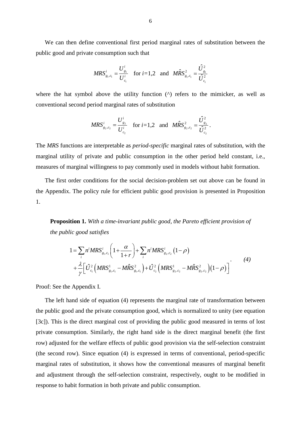We can then define conventional first period marginal rates of substitution between the public good and private consumption such that

$$
MRS_{g_1,c_1}^i = \frac{U_{g_1}^i}{U_{c_1}^i} \quad \text{for } i = 1,2 \quad \text{and} \quad M\hat{R}S_{g_1,c_1}^2 = \frac{\hat{U}_{g_1}^2}{\hat{U}_{c_1}^2}
$$

where the hat symbol above the utility function  $(^{\wedge})$  refers to the mimicker, as well as conventional second period marginal rates of substitution

$$
MRS_{g_2,c_2}^i = \frac{U_{g_2}^i}{U_{c_2}^i} \quad \text{for } i = 1,2 \quad \text{and} \quad M\hat{R}S_{g_2,c_2}^2 = \frac{\hat{U}_{g_2}^2}{\hat{U}_{c_2}^2}.
$$

The *MRS* functions are interpretable as *period-specific* marginal rates of substitution, with the marginal utility of private and public consumption in the other period held constant, i.e., measures of marginal willingness to pay commonly used in models without habit formation.

The first order conditions for the social decision-problem set out above can be found in the Appendix. The policy rule for efficient public good provision is presented in Proposition 1.

**Proposition 1.** *With a time-invariant public good, the Pareto efficient provision of the public good satisfies*

$$
1 = \sum_{i} n^{i} MRS_{g_{1},c_{1}}^{i} \left( 1 + \frac{\alpha}{1+r} \right) + \sum_{i} n^{i} MRS_{g_{2},c_{2}}^{i} \left( 1 - \rho \right)
$$
  
+ 
$$
\frac{\lambda}{\gamma} \left[ \hat{U}_{c_{1}}^{2} \left( MRS_{g_{1},c_{1}}^{1} - M\hat{R}S_{g_{1},c_{1}}^{2} \right) + \hat{U}_{c_{2}}^{2} \left( MRS_{g_{2},c_{2}}^{1} - M\hat{R}S_{g_{2},c_{2}}^{2} \right) \left( 1 - \rho \right) \right]
$$
(4)

Proof: See the Appendix I.

The left hand side of equation (4) represents the marginal rate of transformation between the public good and the private consumption good, which is normalized to unity (see equation [3c]). This is the direct marginal cost of providing the public good measured in terms of lost private consumption. Similarly, the right hand side is the direct marginal benefit (the first row) adjusted for the welfare effects of public good provision via the self-selection constraint (the second row). Since equation (4) is expressed in terms of conventional, period-specific marginal rates of substitution, it shows how the conventional measures of marginal benefit and adjustment through the self-selection constraint, respectively, ought to be modified in response to habit formation in both private and public consumption.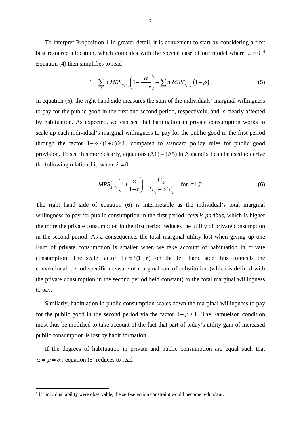To interpret Proposition 1 in greater detail, it is convenient to start by considering a first best resource allocation, which coincides with the special case of our model where  $\lambda = 0$ .<sup>[4](#page-8-0)</sup> Equation (4) then simplifies to read

$$
1 = \sum_{i} n^{i} MRS_{g_{1},c_{1}}^{i} \left( 1 + \frac{\alpha}{1+r} \right) + \sum_{i} n^{i} MRS_{g_{2},c_{2}}^{i} \left( 1 - \rho \right). \tag{5}
$$

In equation (5), the right hand side measures the sum of the individuals' marginal willingness to pay for the public good in the first and second period, respectively, and is clearly affected by habituation. As expected, we can see that habituation in private consumption works to scale up each individual's marginal willingness to pay for the public good in the first period through the factor  $1 + \alpha/(1 + r) \ge 1$ , compared to standard policy rules for public good provision. To see this more clearly, equations  $(A1) - (A5)$  in Appendix I can be used to derive the following relationship when  $\lambda = 0$ :

$$
MRS_{g_1,c_1}^i \left(1 + \frac{\alpha}{1+r}\right) = \frac{U_{g_1}^i}{U_{c_1}^i - \alpha U_{c_2}^i} \quad \text{for i=1,2.}
$$
 (6)

The right hand side of equation (6) is interpretable as the individual's total marginal willingness to pay for public consumption in the first period, *ceteris paribus*, which is higher the more the private consumption in the first period reduces the utility of private consumption in the second period. As a consequence, the total marginal utility lost when giving up one Euro of private consumption is smaller when we take account of habituation in private consumption. The scale factor  $1 + \alpha/(1+r)$  on the left hand side thus connects the conventional, period-specific measure of marginal rate of substitution (which is defined with the private consumption in the second period held constant) to the total marginal willingness to pay.

Similarly, habituation in public consumption scales down the marginal willingness to pay for the public good in the second period via the factor  $1 - \rho \le 1$ . The Samuelson condition must thus be modified to take account of the fact that part of today's utility gain of increased public consumption is lost by habit formation.

If the degrees of habituation in private and public consumption are equal such that  $\alpha = \rho = \sigma$ , equation (5) reduces to read

<span id="page-8-0"></span><sup>&</sup>lt;sup>4</sup> If individual ability were observable, the self-selection constraint would become redundant.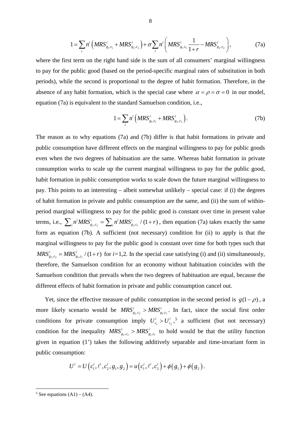$$
1 = \sum_{i} n^{i} \left( MRS_{g_{1},c_{1}}^{i} + MRS_{g_{2},c_{2}}^{i} \right) + \sigma \sum_{i} n^{i} \left( MRS_{g_{1},c_{1}}^{i} \frac{1}{1+r} - MRS_{g_{2},c_{2}}^{i} \right),
$$
(7a)

where the first term on the right hand side is the sum of all consumers' marginal willingness to pay for the public good (based on the period-specific marginal rates of substitution in both periods), while the second is proportional to the degree of habit formation. Therefore, in the absence of any habit formation, which is the special case where  $\alpha = \rho = \sigma = 0$  in our model, equation (7a) is equivalent to the standard Samuelson condition, i.e.,

$$
1 = \sum_{i} n^{i} \left( MRS_{g_{1},c_{1}}^{i} + MRS_{g_{2},c_{2}}^{i} \right). \tag{7b}
$$

The reason as to why equations (7a) and (7b) differ is that habit formations in private and public consumption have different effects on the marginal willingness to pay for public goods even when the two degrees of habituation are the same. Whereas habit formation in private consumption works to scale up the current marginal willingness to pay for the public good, habit formation in public consumption works to scale down the future marginal willingness to pay. This points to an interesting – albeit somewhat unlikely – special case: if (i) the degrees of habit formation in private and public consumption are the same, and (ii) the sum of withinperiod marginal willingness to pay for the public good is constant over time in present value terms, i.e.,  $\sum_{i} n^{i} MRS_{g_2,c_2}^{i} = \sum_{i} n^{i} MRS_{g_1,c_1}^{i} / (1+r)$ , then equation (7a) takes exactly the same form as equation (7b). A sufficient (not necessary) condition for (ii) to apply is that the marginal willingness to pay for the public good is constant over time for both types such that  $MRS_{g_2,c_2}^i = MRS_{g_1,c_1}^i / (1+r)$  for *i*=1,2. In the special case satisfying (i) and (ii) simultaneously, therefore, the Samuelson condition for an economy without habituation coincides with the Samuelson condition that prevails when the two degrees of habituation are equal, because the different effects of habit formation in private and public consumption cancel out.

Yet, since the effective measure of public consumption in the second period is  $g(1 - \rho)$ , a more likely scenario would be  $MRS_{g_1,c_1}^i > MRS_{g_1,c_1}^i$ . In fact, since the social first order conditions for private consumption imply  $U_{c_1}^i > U_{c_2}^i$ , <sup>[5](#page-9-0)</sup> a sufficient (but not necessary) condition for the inequality  $MRS^i_{g_1,c_1} > MRS^i_{g_1,c_1}$  to hold would be that the utility function given in equation (1') takes the following additively separable and time-invariant form in public consumption:

$$
U^{i}=U\left(c_{1}^{i},\ell^{i},c_{2}^{i},g_{1},g_{2}\right)=u\left(c_{1}^{i},\ell^{i},c_{2}^{i}\right)+\phi\left(g_{1}\right)+\phi\left(g_{2}\right).
$$

**.** 

<span id="page-9-0"></span> $5$  See equations  $(A1) - (A4)$ .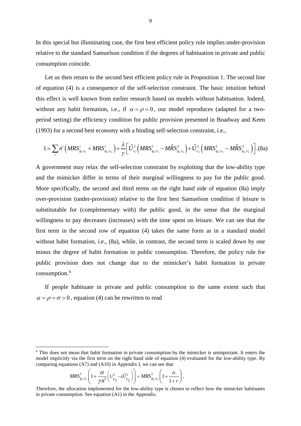In this special but illuminating case, the first best efficient policy rule implies under-provision relative to the standard Samuelson condition if the degrees of habituation in private and public consumption coincide.

Let us then return to the second best efficient policy rule in Proposition 1. The second line of equation (4) is a consequence of the self-selection constraint. The basic intuition behind this effect is well known from earlier research based on models without habituation. Indeed, without any habit formation, i.e., if  $\alpha = \rho = 0$ , our model reproduces (adapted for a twoperiod setting) the efficiency condition for public provision presented in Boadway and Keen (1993) for a second best economy with a binding self-selection constraint, i.e.,

$$
1 = \sum_{i} n^{i} \left( MRS_{g_{1},c_{1}}^{i} + MRS_{g_{2},c_{2}}^{i} \right) + \frac{\lambda}{\gamma} \left[ \hat{U}_{c_{1}}^{2} \left( MRS_{g_{1},c_{1}}^{1} - M\hat{R}S_{g_{1},c_{1}}^{2} \right) + \hat{U}_{c_{2}}^{2} \left( MRS_{g_{2},c_{2}}^{1} - M\hat{R}S_{g_{2},c_{2}}^{2} \right) \right].
$$
 (8a)

A government may relax the self-selection constraint by exploiting that the low-ability type and the mimicker differ in terms of their marginal willingness to pay for the public good. More specifically, the second and third terms on the right hand side of equation (8a) imply over-provision (under-provision) relative to the first best Samuelson condition if leisure is substitutable for (complementary with) the public good, in the sense that the marginal willingness to pay decreases (increases) with the time spent on leisure. We can see that the first term in the second row of equation (4) takes the same form as in a standard model without habit formation, i.e., (8a), while, in contrast, the second term is scaled down by one minus the degree of habit formation in public consumption. Therefore, the policy rule for public provision does not change due to the mimicker's habit formation in private consumption.[6](#page-10-0)

If people habituate in private and public consumption to the same extent such that  $\alpha = \rho = \sigma > 0$ , equation (4) can be rewritten to read

$$
MRS_{g_1,c_1}^1\left(1+\frac{\alpha}{\gamma n^1}\left(U_{c_2}^1-\lambda \hat{U}_{c_2}^1\right)\right)=MRS_{g_1,c_1}^1\left(1+\frac{\alpha}{1+r}\right).
$$

 $\overline{a}$ 

<span id="page-10-0"></span><sup>6</sup> This does not mean that habit formation in private consumption by the mimicker is unimportant. It enters the model implicitly via the first term on the right hand side of equation (4) evaluated for the low-ability type. By comparing equations (A7) and (A10) in Appendix I, we can see that

Therefore, the allocation implemented for the low-ability type is chosen to reflect how the mimicker habituates in private consumption. See equation (A1) in the Appendix.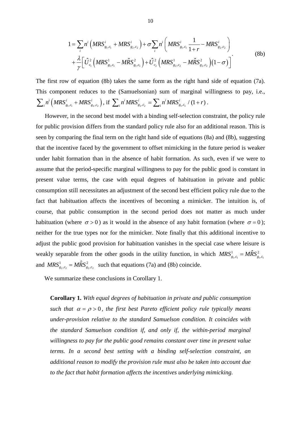$$
1 = \sum_{i} n^{i} \left( MRS_{g_{1},c_{1}}^{i} + MRS_{g_{2},c_{2}}^{i} \right) + \sigma \sum_{i} n^{i} \left( MRS_{g_{1},c_{1}}^{i} \frac{1}{1+r} - MRS_{g_{2},c_{2}}^{i} \right) + \frac{\lambda}{\gamma} \left[ \hat{U}_{c_{1}}^{2} \left( MRS_{g_{1},c_{1}}^{1} - M\hat{RS}_{g_{1},c_{1}}^{2} \right) + \hat{U}_{c_{2}}^{2} \left( MRS_{g_{2},c_{2}}^{1} - M\hat{RS}_{g_{2},c_{2}}^{2} \right) \left( 1 - \sigma \right) \right]
$$
(8b)

The first row of equation (8b) takes the same form as the right hand side of equation (7a). This component reduces to the (Samuelsonian) sum of marginal willingness to pay, i.e.,  $\sum_{i} n^{i} (MRS_{g_1,c_1}^i + MRS_{g_2,c_2}^i)$ , if  $\sum_{i} n^{i} MRS_{g_2,c_2}^i = \sum_{i} n^{i} MRS_{g_1,c_1}^i / (1+r)$ .

However, in the second best model with a binding self-selection constraint, the policy rule for public provision differs from the standard policy rule also for an additional reason. This is seen by comparing the final term on the right hand side of equations (8a) and (8b), suggesting that the incentive faced by the government to offset mimicking in the future period is weaker under habit formation than in the absence of habit formation. As such, even if we were to assume that the period-specific marginal willingness to pay for the public good is constant in present value terms, the case with equal degrees of habituation in private and public consumption still necessitates an adjustment of the second best efficient policy rule due to the fact that habituation affects the incentives of becoming a mimicker. The intuition is, of course, that public consumption in the second period does not matter as much under habituation (where  $\sigma > 0$ ) as it would in the absence of any habit formation (where  $\sigma = 0$ ); neither for the true types nor for the mimicker. Note finally that this additional incentive to adjust the public good provision for habituation vanishes in the special case where leisure is weakly separable from the other goods in the utility function, in which  $MRS^1_{g_1,c_1} = M\hat{R}S^2_{g_1,c_1}$ and  $MRS_{g_2,c_2}^1 = M\hat{R}S_{g_2,c_2}^2$  such that equations (7a) and (8b) coincide.

We summarize these conclusions in Corollary 1.

**Corollary 1.** *With equal degrees of habituation in private and public consumption such that*  $\alpha = \rho > 0$ , *the first best Pareto efficient policy rule typically means under-provision relative to the standard Samuelson condition. It coincides with the standard Samuelson condition if, and only if, the within-period marginal willingness to pay for the public good remains constant over time in present value terms. In a second best setting with a binding self-selection constraint, an additional reason to modify the provision rule must also be taken into account due to the fact that habit formation affects the incentives underlying mimicking.*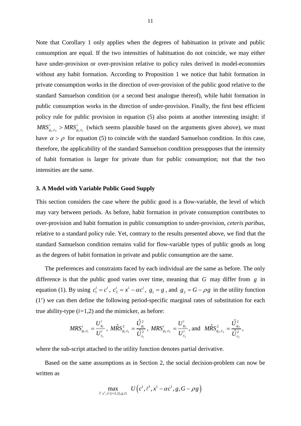Note that Corollary 1 only applies when the degrees of habituation in private and public consumption are equal. If the two intensities of habituation do not coincide, we may either have under-provision or over-provision relative to policy rules derived in model-economies without any habit formation. According to Proposition 1 we notice that habit formation in private consumption works in the direction of over-provision of the public good relative to the standard Samuelson condition (or a second best analogue thereof), while habit formation in public consumption works in the direction of under-provision. Finally, the first best efficient policy rule for public provision in equation (5) also points at another interesting insight: if  $MRS_{g_2,c_2}^i > MRS_{g_1,c_1}^i$  (which seems plausible based on the arguments given above), we must have  $\alpha > \rho$  for equation (5) to coincide with the standard Samuelson condition. In this case, therefore, the applicability of the standard Samuelson condition presupposes that the intensity of habit formation is larger for private than for public consumption; not that the two intensities are the same.

#### **3. A Model with Variable Public Good Supply**

This section considers the case where the public good is a flow-variable, the level of which may vary between periods. As before, habit formation in private consumption contributes to over-provision and habit formation in public consumption to under-provision, *ceteris paribus*, relative to a standard policy rule. Yet, contrary to the results presented above, we find that the standard Samuelson condition remains valid for flow-variable types of public goods as long as the degrees of habit formation in private and public consumption are the same.

The preferences and constraints faced by each individual are the same as before. The only difference is that the public good varies over time, meaning that *G* may differ from *g* in equation (1). By using  $c_1^i = c^i$ ,  $c_2^i = x^i - \alpha c^i$ ,  $g_1 = g$ , and  $g_2 = G - \rho g$  in the utility function (1') we can then define the following period-specific marginal rates of substitution for each true ability-type (*i=*1,2) and the mimicker, as before:

$$
MRS_{g_1,c_1}^i = \frac{U_{g_1}^i}{U_{c_1}^i}, \overrightarrow{MRS}_{g_1,c_1}^2 = \frac{\hat{U}_{g_1}^2}{\hat{U}_{c_1}^2}, \overrightarrow{MRS}_{g_2,c_2}^i = \frac{U_{g_2}^i}{U_{c_2}^i}, \text{ and } \overrightarrow{MRS}_{g_2,c_2}^2 = \frac{\hat{U}_{g_2}^2}{\hat{U}_{c_2}^2},
$$

where the sub-script attached to the utility function denotes partial derivative.

Based on the same assumptions as in Section 2, the social decision-problem can now be written as

$$
\max_{l^i,c^i,x^i(i=1,2),g,G} U\left(c^1,\ell^1,x^1-\alpha c^1,g,G-\rho g\right)
$$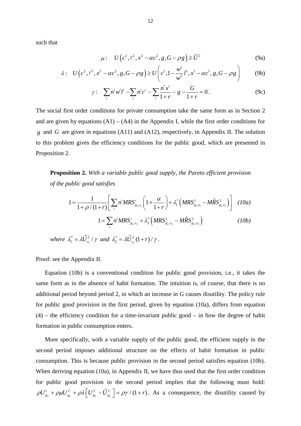such that

$$
\mu: U\left(c^2, \ell^2, x^2 - \alpha c^2, g, G - \rho g\right) \ge \overline{U}^2 \tag{9a}
$$

$$
\lambda: U\left(c^2, \ell^2, x^2 - \alpha c^2, g, G - \rho g\right) \ge U\left(c^1, 1 - \frac{w^1}{w^2}l^1, x^1 - \alpha c^1, g, G - \rho g\right) \tag{9b}
$$

$$
\gamma: \sum_{i} n^{i} w^{i} l^{i} - \sum_{i} n^{i} c^{i} - \sum_{i} \frac{n^{i} x^{i}}{1+r} - g - \frac{G}{1+r} = 0.
$$
 (9c)

The social first order conditions for private consumption take the same form as in Section 2 and are given by equations  $(A1) - (A4)$  in the Appendix I, while the first order conditions for *g* and *G* are given in equations (A11) and (A12), respectively, in Appendix II. The solution to this problem gives the efficiency conditions for the public good, which are presented in Proposition 2.

**Proposition 2.** *With a variable public good supply, the Pareto efficient provision of the public good satisfies*

$$
1 = \frac{1}{1 + \rho/(1+r)} \Bigg[ \sum_{i} n^{i} MRS_{g_{1},c_{1}}^{i} \bigg( 1 + \frac{\alpha}{1+r} \bigg) + \lambda_{1}^{*} \bigg( MRS_{g_{1},c_{1}}^{1} - M\hat{R}S_{g_{1},c_{1}}^{2} \bigg) \Bigg] \quad (10a)
$$
  

$$
1 = \sum_{i} n^{i} MRS_{g_{2},c_{2}}^{i} + \lambda_{2}^{*} \bigg( MRS_{g_{2},c_{2}}^{1} - M\hat{R}S_{g_{2},c_{2}}^{2} \bigg) \qquad (10b)
$$

 $where \ \lambda_1^* = \lambda \hat{U}_{c_1}^2 / \gamma \ \text{and} \ \lambda_2^* = \lambda \hat{U}_{c_2}^2 (1+r) / \gamma.$ 

Proof: see the Appendix II.

Equation (10b) is a conventional condition for public good provision, i.e., it takes the same form as in the absence of habit formation. The intuition is, of course, that there is no additional period beyond period 2, in which an increase in *G* causes disutility. The policy rule for public good provision in the first period, given by equation (10a), differs from equation  $(4)$  – the efficiency condition for a time-invariant public good – in how the degree of habit formation in public consumption enters.

More specifically, with a variable supply of the public good, the efficient supply in the second period imposes additional structure on the effects of habit formation in public consumption. This is because public provision in the second period satisfies equation (10b). When deriving equation (10a), in Appendix II, we have thus used that the first order condition for public good provision in the second period implies that the following must hold:  $\rho U_{g_2}^1 + \rho \mu U_{g_2}^2 + \rho \lambda \left[ U_{g_2}^2 - \hat{U}_{g_2}^2 \right] = \rho \gamma / (1+r)$ . As a consequence, the disutility caused by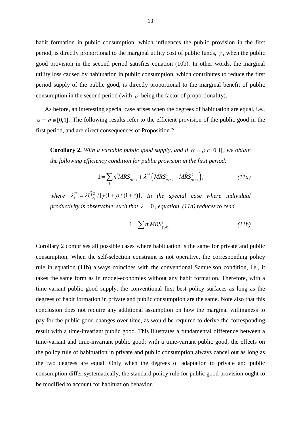habit formation in public consumption, which influences the public provision in the first period, is directly proportional to the marginal utility cost of public funds,  $\gamma$ , when the public good provision in the second period satisfies equation (10b). In other words, the marginal utility loss caused by habituation in public consumption, which contributes to reduce the first period supply of the public good, is directly proportional to the marginal benefit of public consumption in the second period (with  $\rho$  being the factor of proportionality).

As before, an interesting special case arises when the degrees of habituation are equal, i.e.,  $\alpha = \rho \in [0,1]$ . The following results refer to the efficient provision of the public good in the first period, and are direct consequences of Proposition 2:

**Corollary 2.** *With a variable public good supply, and if*  $\alpha = \rho \in [0,1]$ *, we obtain the following efficiency condition for public provision in the first period:*

$$
1 = \sum_{i} n^{i} MRS_{g_{1},c_{1}}^{i} + \lambda_{1}^{**} \Big(MRS_{g_{1},c_{1}}^{1} - M\hat{R}S_{g_{1},c_{1}}^{2}\Big), \qquad (11a)
$$

where  $\lambda_1^{**} = \lambda \hat{U}_{c_1}^2 / [\gamma(1 + \rho/(1+r))]$ . In the special case where individual *productivity is observable, such that*  $\lambda = 0$ *, equation (11a) reduces to read* 

$$
1 = \sum_{i} n^i MRS_{g_1,c_1}^i \tag{11b}
$$

Corollary 2 comprises all possible cases where habituation is the same for private and public consumption. When the self-selection constraint is not operative, the corresponding policy rule in equation (11b) always coincides with the conventional Samuelson condition, i.e., it takes the same form as in model-economies without any habit formation. Therefore, with a time-variant public good supply, the conventional first best policy surfaces as long as the degrees of habit formation in private and public consumption are the same. Note also that this conclusion does not require any additional assumption on how the marginal willingness to pay for the public good changes over time, as would be required to derive the corresponding result with a time-invariant public good. This illustrates a fundamental difference between a time-variant and time-invariant public good: with a time-variant public good, the effects on the policy rule of habituation in private and public consumption always cancel out as long as the two degrees are equal. Only when the degrees of adaptation to private and public consumption differ systematically, the standard policy rule for public good provision ought to be modified to account for habituation behavior.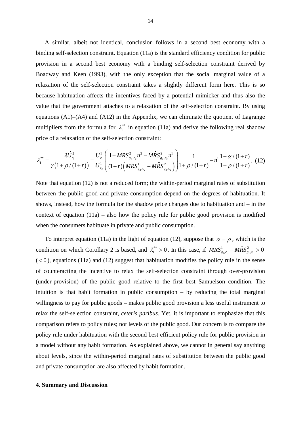A similar, albeit not identical, conclusion follows in a second best economy with a binding self-selection constraint. Equation (11a) is the standard efficiency condition for public provision in a second best economy with a binding self-selection constraint derived by Boadway and Keen (1993), with the only exception that the social marginal value of a relaxation of the self-selection constraint takes a slightly different form here. This is so because habituation affects the incentives faced by a potential mimicker and thus also the value that the government attaches to a relaxation of the self-selection constraint. By using equations  $(A1)$ – $(A4)$  and  $(A12)$  in the Appendix, we can eliminate the quotient of Lagrange multipliers from the formula for  $\lambda_i^{**}$  in equation (11a) and derive the following real shadow price of a relaxation of the self-selection constraint:

$$
\lambda_1^{**} = \frac{\lambda \hat{U}_{c_1}^2}{\gamma (1 + \rho/(1+r))} = \frac{U_{c_1}^1}{U_{c_2}^1} \left( \frac{1 - MRS_{g_2,c_2}^2 n^2 - M\hat{R}S_{g_2,c_2}^2 n^1}{(1+r) \left( MRS_{g_2,c_2}^1 - M\hat{R}S_{g_2,c_2}^2 \right)} \right) \frac{1}{1 + \rho/(1+r)} - n^1 \frac{1 + \alpha/(1+r)}{1 + \rho/(1+r)}.
$$
 (12)

Note that equation (12) is not a reduced form; the within-period marginal rates of substitution between the public good and private consumption depend on the degrees of habituation. It shows, instead, how the formula for the shadow price changes due to habituation and – in the context of equation  $(11a)$  – also how the policy rule for public good provision is modified when the consumers habituate in private and public consumption.

To interpret equation (11a) in the light of equation (12), suppose that  $\alpha = \rho$ , which is the condition on which Corollary 2 is based, and  $\lambda_1^{**} > 0$ . In this case, if  $MRS_{g_1,c_1}^1 - M\hat{R}S_{g_1,c_1}^2 > 0$  $(< 0$ ), equations (11a) and (12) suggest that habituation modifies the policy rule in the sense of counteracting the incentive to relax the self-selection constraint through over-provision (under-provision) of the public good relative to the first best Samuelson condition. The intuition is that habit formation in public consumption – by reducing the total marginal willingness to pay for public goods – makes public good provision a less useful instrument to relax the self-selection constraint, *ceteris paribus*. Yet, it is important to emphasize that this comparison refers to policy rules; not levels of the public good. Our concern is to compare the policy rule under habituation with the second best efficient policy rule for public provision in a model without any habit formation. As explained above, we cannot in general say anything about levels, since the within-period marginal rates of substitution between the public good and private consumption are also affected by habit formation.

#### **4. Summary and Discussion**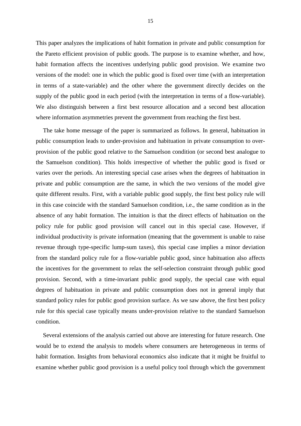This paper analyzes the implications of habit formation in private and public consumption for the Pareto efficient provision of public goods. The purpose is to examine whether, and how, habit formation affects the incentives underlying public good provision. We examine two versions of the model: one in which the public good is fixed over time (with an interpretation in terms of a state-variable) and the other where the government directly decides on the supply of the public good in each period (with the interpretation in terms of a flow-variable). We also distinguish between a first best resource allocation and a second best allocation where information asymmetries prevent the government from reaching the first best.

The take home message of the paper is summarized as follows. In general, habituation in public consumption leads to under-provision and habituation in private consumption to overprovision of the public good relative to the Samuelson condition (or second best analogue to the Samuelson condition). This holds irrespective of whether the public good is fixed or varies over the periods. An interesting special case arises when the degrees of habituation in private and public consumption are the same, in which the two versions of the model give quite different results. First, with a variable public good supply, the first best policy rule will in this case coincide with the standard Samuelson condition, i.e., the same condition as in the absence of any habit formation. The intuition is that the direct effects of habituation on the policy rule for public good provision will cancel out in this special case. However, if individual productivity is private information (meaning that the government is unable to raise revenue through type-specific lump-sum taxes), this special case implies a minor deviation from the standard policy rule for a flow-variable public good, since habituation also affects the incentives for the government to relax the self-selection constraint through public good provision. Second, with a time-invariant public good supply, the special case with equal degrees of habituation in private and public consumption does not in general imply that standard policy rules for public good provision surface. As we saw above, the first best policy rule for this special case typically means under-provision relative to the standard Samuelson condition.

Several extensions of the analysis carried out above are interesting for future research. One would be to extend the analysis to models where consumers are heterogeneous in terms of habit formation. Insights from behavioral economics also indicate that it might be fruitful to examine whether public good provision is a useful policy tool through which the government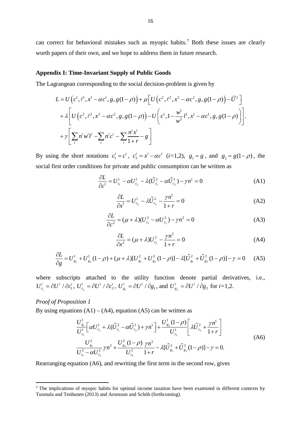can correct for behavioral mistakes such as myopic habits. [7](#page-17-0) Both these issues are clearly worth papers of their own, and we hope to address them in future research.

#### **Appendix I: Time-Invariant Supply of Public Goods**

The Lagrangean corresponding to the social decision-problem is given by

$$
L = U\left(c^{1}, \ell^{1}, x^{1} - \alpha c^{1}, g, g(1 - \rho)\right) + \mu \left[U\left(c^{2}, \ell^{2}, x^{2} - \alpha c^{2}, g, g(1 - \rho)\right) - \overline{U}^{2}\right] + \lambda \left[U\left(c^{2}, \ell^{2}, x^{2} - \alpha c^{2}, g, g(1 - \rho)\right) - U\left(c^{1}, 1 - \frac{w^{1}}{w^{2}}l^{1}, x^{1} - \alpha c^{1}, g, g(1 - \rho)\right)\right] + \gamma \left[\sum_{i} n^{i}w^{i}l^{i} - \sum_{i} n^{i}c^{i} - \sum_{i}\frac{n^{i}x^{i}}{1 + r} - g\right]
$$

By using the short notations  $c_1^i = c^i$ ,  $c_2^i = x^i - \alpha c^i$  (*i*=1,2),  $g_1 = g$ , and  $g_2 = g(1 - \rho)$ , the social first order conditions for private and public consumption can be written as

$$
\frac{\partial L}{\partial c^1} = U_{c_1}^1 - \alpha U_{c_2}^1 - \lambda (\hat{U}_{c_1}^2 - \alpha \hat{U}_{c_2}^2) - \gamma n^1 = 0
$$
 (A1)

$$
\frac{\partial L}{\partial x^1} = U_{c_2}^1 - \lambda \hat{U}_{c_2}^2 - \frac{\gamma n^1}{1+r} = 0
$$
 (A2)

$$
\frac{\partial L}{\partial c^2} = (\mu + \lambda)(U_{c_1}^2 - \alpha U_{c_2}^2) - \gamma n^2 = 0
$$
 (A3)

$$
\frac{\partial L}{\partial x^2} = (\mu + \lambda)U_{c_2}^2 - \frac{\gamma n^2}{1+r} = 0
$$
 (A4)

$$
\frac{\partial L}{\partial g} = U_{g_1}^1 + U_{g_2}^1 (1 - \rho) + (\mu + \lambda)[U_{g_1}^2 + U_{g_2}^2 (1 - \rho)] - \lambda[\hat{U}_{g_1}^2 + \hat{U}_{g_2}^2 (1 - \rho)] - \gamma = 0 \quad (A5)
$$

where subscripts attached to the utility function denote partial derivatives, i.e.,  $U_{c_1}^i = \partial U^i / \partial c_1^i$ ,  $U_{c_2}^i = \partial U^i / \partial c_2^i$ ,  $U_{g_1}^i = \partial U^i / \partial g_1$ , and  $U_{g_2}^i = \partial U^i / \partial g_2$  for  $i=1,2$ .

### *Proof of Proposition 1*

By using equations  $(A1) - (A4)$ , equation  $(A5)$  can be written as

$$
\frac{U_{g_1}^1}{U_{c_1}^1} \left[ \alpha U_{c_2}^1 + \lambda (\hat{U}_{c_1}^2 - \alpha \hat{U}_{c_2}^2) + \gamma n^1 \right] + \frac{U_{g_2}^1 (1 - \rho)}{U_{c_2}^1} \left[ \lambda \hat{U}_{c_2}^2 + \frac{\gamma n^1}{1 + r} \right]
$$
\n
$$
\frac{U_{g_1}^2}{U_{c_1}^2 - \alpha U_{c_2}^2} \gamma n^2 + \frac{U_{g_2}^2 (1 - \rho)}{U_{c_2}^2} \frac{\gamma n^2}{1 + r} - \lambda [\hat{U}_{g_1}^2 + \hat{U}_{g_2}^2 (1 - \rho)] - \gamma = 0.
$$
\n(A6)

Rearranging equation (A6), and rewriting the first term in the second row, gives

<span id="page-17-0"></span><sup>&</sup>lt;sup>7</sup> The implications of myopic habits for optimal income taxation have been examined in different contexts by Tuomala and Tenhunen (2013) and Aronsson and Schöb (forthcoming).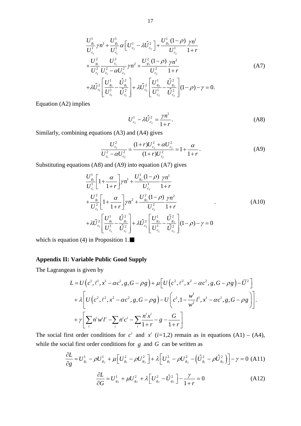$$
\frac{U_{s_1}^1}{U_{c_1}^1} \gamma n^1 + \frac{U_{s_1}^1}{U_{c_1}^1} \alpha \left[ U_{c_2}^1 - \lambda \hat{U}_{c_2}^2 \right] + \frac{U_{s_2}^1 (1 - \rho)}{U_{c_2}^1} \frac{\gamma n^1}{1 + r} \n+ \frac{U_{s_1}^2}{U_{c_1}^2} \frac{U_{c_1}^2}{U_{c_1}^2 - \alpha U_{c_2}^2} \gamma n^2 + \frac{U_{s_2}^2 (1 - \rho)}{U_{c_2}^2} \frac{\gamma n^2}{1 + r} \n+ \lambda \hat{U}_{c_1}^2 \left[ \frac{U_{s_1}^1}{U_{c_1}^1} - \frac{\hat{U}_{s_1}^2}{\hat{U}_{c_1}^2} \right] + \lambda \hat{U}_{c_2}^2 \left[ \frac{U_{s_2}^1}{U_{c_2}^1} - \frac{\hat{U}_{s_2}^2}{\hat{U}_{c_2}^2} \right] (1 - \rho) - \gamma = 0.
$$
\n(A7)

Equation (A2) implies

$$
U_{c_2}^1 - \lambda \hat{U}_{c_2}^2 = \frac{\gamma n^1}{1+r}.
$$
 (A8)

Similarly, combining equations (A3) and (A4) gives

$$
\frac{U_{c_1}^2}{U_{c_1}^2 - \alpha U_{c_2}^2} = \frac{(1+r)U_{c_2}^2 + \alpha U_{c_2}^2}{(1+r)U_{c_2}^2} = 1 + \frac{\alpha}{1+r}.
$$
\n(A9)

Substituting equations (A8) and (A9) into equation (A7) gives

$$
\frac{U_{g_1}^1}{U_{c_1}^1} \left[ 1 + \frac{\alpha}{1+r} \right] \gamma n^1 + \frac{U_{g_2}^1 (1-\rho)}{U_{c_2}^1} \frac{\gamma n^1}{1+r} + \frac{U_{g_1}^2}{U_{c_1}^2} \left[ 1 + \frac{\alpha}{1+r} \right] \gamma n^2 + \frac{U_{g_2}^2 (1-\rho)}{U_{c_2}^2} \frac{\gamma n^2}{1+r} + \lambda \hat{U}_{c_1}^2 \left[ \frac{U_{g_1}^1}{U_{c_1}^1} - \frac{\hat{U}_{g_1}^2}{\hat{U}_{c_1}^2} \right] + \lambda \hat{U}_{c_2}^2 \left[ \frac{U_{g_2}^1}{U_{c_2}^1} - \frac{\hat{U}_{g_2}^2}{\hat{U}_{c_2}^2} \right] (1-\rho) - \gamma = 0
$$
\n(A10)

which is equation (4) in Proposition 1. $\blacksquare$ 

#### **Appendix II: Variable Public Good Supply**

The Lagrangean is given by

$$
L = U\left(c^{1}, \ell^{1}, x^{1} - \alpha c^{1}, g, G - \rho g\right) + \mu \left[U\left(c^{2}, \ell^{2}, x^{2} - \alpha c^{2}, g, G - \rho g\right) - \bar{U}^{2}\right] + \lambda \left[U\left(c^{2}, \ell^{2}, x^{2} - \alpha c^{2}, g, G - \rho g\right) - U\left(c^{1}, 1 - \frac{w^{1}}{w^{2}}l^{1}, x^{1} - \alpha c^{1}, g, G - \rho g\right)\right].
$$
  
+  $\gamma \left[\sum_{i} n^{i}w^{i}l^{i} - \sum_{i} n^{i}c^{i} - \sum_{i}\frac{n^{i}x^{i}}{1+r} - g - \frac{G}{1+r}\right]$ 

The social first order conditions for  $c^i$  and  $x^i$  (*i*=1,2) remain as in equations (A1) – (A4), while the social first order conditions for *g* and *G* can be written as

 $g_2$ <sup>1</sup>  $\mu$ <sub>c</sub><sub> $g_2$ </sub>  $\mu$ <sub>c</sub><sub> $g_2$ </sub>  $g_2$ <sub> $g_2$ </sub>  $g_1$ <sub>1</sub>

 $G$   $s_2$   $s_3$   $s_2$   $s_3$   $s_1$ 

$$
\frac{\partial L}{\partial g} = U_{g_1}^1 - \rho U_{g_2}^1 + \mu \left[ U_{g_1}^2 - \rho U_{g_2}^2 \right] + \lambda \left[ U_{g_1}^2 - \rho U_{g_2}^2 - \left( \hat{U}_{g_1}^2 - \rho \hat{U}_{g_2}^2 \right) \right] - \gamma = 0 \quad (A11)
$$
\n
$$
\frac{\partial L}{\partial G} = U_{g_2}^1 + \mu U_{g_2}^2 + \lambda \left[ U_{g_2}^2 - \hat{U}_{g_2}^2 \right] - \frac{\gamma}{1+r} = 0 \tag{A12}
$$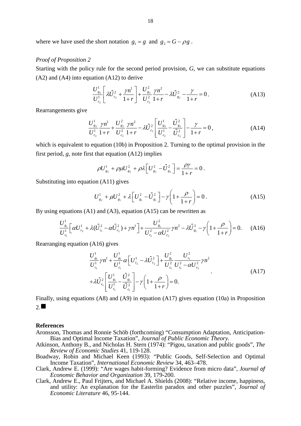where we have used the short notation  $g_1 = g$  and  $g_2 = G - \rho g$ .

#### *Proof of Proposition 2*

Starting with the policy rule for the second period provision, *G*, we can substitute equations  $(A2)$  and  $(A4)$  into equation  $(A12)$  to derive

$$
\frac{U_{g_2}^1}{U_{c_2}^1} \left[ \lambda \hat{U}_{c_2}^2 + \frac{\gamma n^1}{1+r} \right] + \frac{U_{g_2}^2}{U_{c_2}^2} \frac{\gamma n^2}{1+r} - \lambda \hat{U}_{g_2}^2 - \frac{\gamma}{1+r} = 0. \tag{A13}
$$

Rearrangements give

$$
\frac{U_{g_2}^1}{U_{c_2}^1} \frac{\gamma n^1}{1+r} + \frac{U_{g_2}^2}{U_{c_2}^2} \frac{\gamma n^2}{1+r} - \lambda \hat{U}_{c_2}^2 \left[ \frac{U_{g_2}^1}{U_{c_2}^1} - \frac{\hat{U}_{g_2}^2}{\hat{U}_{c_2}^2} \right] - \frac{\gamma}{1+r} = 0,
$$
\n(A14)

which is equivalent to equation (10b) in Proposition 2. Turning to the optimal provision in the first period, *g*, note first that equation (A12) implies

$$
\rho U_{g_2}^1 + \rho \mu U_{g_2}^2 + \rho \lambda \Big[ U_{g_2}^2 - \hat{U}_{g_2}^2 \Big] = \frac{\rho \gamma}{1+r} = 0.
$$

Substituting into equation (A11) gives

$$
U_{g_2}^1 + \mu U_{g_1}^2 + \lambda \left[ U_{g_1}^2 - \hat{U}_{g_1}^2 \right] - \gamma \left( 1 + \frac{\rho}{1+r} \right) = 0 \,.
$$
 (A15)

By using equations (A1) and (A3), equation (A15) can be rewritten as

$$
\frac{U_{g_1}^1}{U_{c_1}^1} \left[ \alpha U_{c_2}^1 + \lambda (\hat{U}_{c_1}^2 - \alpha \hat{U}_{c_2}^2) + \gamma n^1 \right] + \frac{U_{g_1}^2}{U_{c_1}^2 - \alpha U_{c_2}^2} \gamma n^2 - \lambda \hat{U}_{g_1}^2 - \gamma \left( 1 + \frac{\rho}{1+r} \right) = 0. \tag{A16}
$$

Rearranging equation (A16) gives

$$
\frac{U_{g_1}^1}{U_{c_1}^1} \gamma n^1 + \frac{U_{g_1}^1}{U_{c_1}^1} \alpha \left[ U_{c_2}^1 - \lambda \hat{U}_{c_2}^2 \right] + \frac{U_{g_1}^2}{U_{c_1}^2} \frac{U_{c_1}^2}{U_{c_1}^2 - \alpha U_{c_2}^2} \gamma n^2
$$
\n
$$
+ \lambda \hat{U}_{c_1}^2 \left[ \frac{U_{g_1}^1}{U_{c_1}^1} - \frac{\hat{U}_{g_1}^2}{\hat{U}_{c_1}^2} \right] - \gamma \left( 1 + \frac{\rho}{1+r} \right) = 0.
$$
\n(A17)

Finally, using equations (A8) and (A9) in equation (A17) gives equation (10a) in Proposition  $2. \blacksquare$ 

#### **References**

- Aronsson, Thomas and Ronnie Schöb (forthcoming) "Consumption Adaptation, Anticipation-Bias and Optimal Income Taxation", *Journal of Public Economic Theory.*
- Atkinson, Anthony B., and Nicholas H. Stern (1974): "Pigou, taxation and public goods", *The Review of Economic Studies* 41, 119-128.
- Boadway, Robin and Michael Keen (1993): "Public Goods, Self-Selection and Optimal Income Taxation", *International Economic Review* 34, 463–478.
- Clark, Andrew E. (1999): "Are wages habit-forming? Evidence from micro data", *Journal of Economic Behavior and Organization* 39, 179-200.
- Clark, Andrew E., Paul Frijters, and Michael A. Shields (2008): "Relative income, happiness, and utility: An explanation for the Easterlin paradox and other puzzles", *Journal of Economic Literature* 46, 95-144.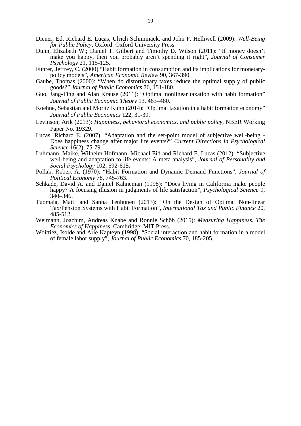- Diener, Ed, Richard E. Lucas, Ulrich Schimmack, and John F. Helliwell (2009): *Well-Being for Public Policy*, Oxford: Oxford University Press.
- Dunn, Elizabeth W.; Daniel T. Gilbert and Timothy D. Wilson (2011): "If money doesn't make you happy, then you probably aren't spending it right", *Journal of Consumer Psychology* 21, 115-125.
- Fuhrer, Jeffrey, C. (2000) "Habit formation in consumption and its implications for monetarypolicy models", *American Economic Review* 90, 367-390.
- Gaube, Thomas (2000): "When do distortionary taxes reduce the optimal supply of public goods?" *Journal of Public Economics* 76, 151-180.
- Guo, Jang-Ting and Alan Krause (2011): "Optimal nonlinear taxation with habit formation" *Journal of Public Economic Theory* 13, 463–480.
- Koehne, Sebastian and Moritz Kuhn (2014): "Optimal taxation in a habit formation economy" *Journal of Public Economics* 122, 31-39.
- Levinson, Arik (2013): *Happiness, behavioral economics, and public policy*, NBER Working Paper No. 19329.
- Lucas, Richard E. (2007): "Adaptation and the set-point model of subjective well-being Does happiness change after major life events?" *Current Directions in Psychological Science* 16(2), 75-79.
- Luhmann, Maike, Wilhelm Hofmann, Michael Eid and Richard E. Lucas (2012): "Subjective well-being and adaptation to life events: A meta-analysis", *Journal of Personality and Social Psychology* 102, 592-615.
- Pollak, Robert A. (1970): "Habit Formation and Dynamic Demand Functions", *Journal of Political Economy* 78, 745-763.
- Schkade, David A. and Daniel Kahneman (1998): "Does living in California make people happy? A focusing illusion in judgments of life satisfaction", *Psychological Science* 9, 340–346.
- Tuomala, Matti and Sanna Tenhunen (2013): "On the Design of Optimal Non-linear Tax/Pension Systems with Habit Formation", *International Tax and Public Finance* 20, 485-512.
- Weimann, Joachim, Andreas Knabe and Ronnie Schöb (2015): *Measuring Happiness. The Economics of Happiness,* Cambridge: MIT Press.
- Woittiez, Isolde and Arie Kapteyn (1998): "Social interaction and habit formation in a model of female labor supply", *Journal of Public Economics* 70, 185-205.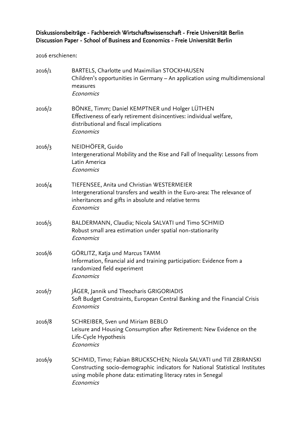# Diskussionsbeiträge - Fachbereich Wirtschaftswissenschaft - Freie Universität Berlin Discussion Paper - School of Business and Economics - Freie Universität Berlin

2016 erschienen:

| 2016/1 | BARTELS, Charlotte und Maximilian STOCKHAUSEN<br>Children's opportunities in Germany - An application using multidimensional<br>measures<br>Economics                                                                             |
|--------|-----------------------------------------------------------------------------------------------------------------------------------------------------------------------------------------------------------------------------------|
| 2016/2 | BÖNKE, Timm; Daniel KEMPTNER und Holger LÜTHEN<br>Effectiveness of early retirement disincentives: individual welfare,<br>distributional and fiscal implications<br>Economics                                                     |
| 2016/3 | NEIDHÖFER, Guido<br>Intergenerational Mobility and the Rise and Fall of Inequality: Lessons from<br>Latin America<br>Economics                                                                                                    |
| 2016/4 | TIEFENSEE, Anita und Christian WESTERMEIER<br>Intergenerational transfers and wealth in the Euro-area: The relevance of<br>inheritances and gifts in absolute and relative terms<br>Economics                                     |
| 2016/5 | BALDERMANN, Claudia; Nicola SALVATI und Timo SCHMID<br>Robust small area estimation under spatial non-stationarity<br>Economics                                                                                                   |
| 2016/6 | GÖRLITZ, Katja und Marcus TAMM<br>Information, financial aid and training participation: Evidence from a<br>randomized field experiment<br>Economics                                                                              |
| 2016/7 | JÄGER, Jannik und Theocharis GRIGORIADIS<br>Soft Budget Constraints, European Central Banking and the Financial Crisis<br>Economics                                                                                               |
| 2016/8 | SCHREIBER, Sven und Miriam BEBLO<br>Leisure and Housing Consumption after Retirement: New Evidence on the<br>Life-Cycle Hypothesis<br>Economics                                                                                   |
| 2016/9 | SCHMID, Timo; Fabian BRUCKSCHEN; Nicola SALVATI und Till ZBIRANSKI<br>Constructing socio-demographic indicators for National Statistical Institutes<br>using mobile phone data: estimating literacy rates in Senegal<br>Economics |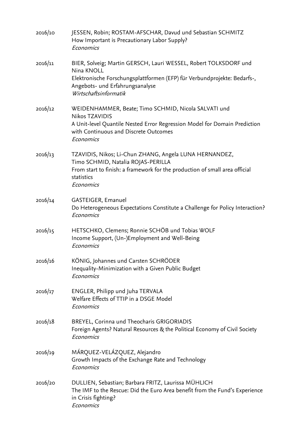| 2016/10 | JESSEN, Robin; ROSTAM-AFSCHAR, Davud und Sebastian SCHMITZ<br>How Important is Precautionary Labor Supply?<br>Economics                                                                                                |
|---------|------------------------------------------------------------------------------------------------------------------------------------------------------------------------------------------------------------------------|
| 2016/11 | BIER, Solveig; Martin GERSCH, Lauri WESSEL, Robert TOLKSDORF und<br>Nina KNOLL<br>Elektronische Forschungsplattformen (EFP) für Verbundprojekte: Bedarfs-,<br>Angebots- und Erfahrungsanalyse<br>Wirtschaftsinformatik |
| 2016/12 | WEIDENHAMMER, Beate; Timo SCHMID, Nicola SALVATI und<br><b>Nikos TZAVIDIS</b><br>A Unit-level Quantile Nested Error Regression Model for Domain Prediction<br>with Continuous and Discrete Outcomes<br>Economics       |
| 2016/13 | TZAVIDIS, Nikos; Li-Chun ZHANG, Angela LUNA HERNANDEZ,<br>Timo SCHMID, Natalia ROJAS-PERILLA<br>From start to finish: a framework for the production of small area official<br>statistics<br>Economics                 |
| 2016/14 | GASTEIGER, Emanuel<br>Do Heterogeneous Expectations Constitute a Challenge for Policy Interaction?<br>Economics                                                                                                        |
| 2016/15 | HETSCHKO, Clemens; Ronnie SCHÖB und Tobias WOLF<br>Income Support, (Un-)Employment and Well-Being<br>Economics                                                                                                         |
| 2016/16 | KÖNIG, Johannes und Carsten SCHRÖDER<br>Inequality-Minimization with a Given Public Budget<br>Economics                                                                                                                |
| 2016/17 | ENGLER, Philipp und Juha TERVALA<br>Welfare Effects of TTIP in a DSGE Model<br>Economics                                                                                                                               |
| 2016/18 | BREYEL, Corinna und Theocharis GRIGORIADIS<br>Foreign Agents? Natural Resources & the Political Economy of Civil Society<br>Economics                                                                                  |
| 2016/19 | MÁRQUEZ-VELÁZQUEZ, Alejandro<br>Growth Impacts of the Exchange Rate and Technology<br>Economics                                                                                                                        |
| 2016/20 | DULLIEN, Sebastian; Barbara FRITZ, Laurissa MÜHLICH<br>The IMF to the Rescue: Did the Euro Area benefit from the Fund's Experience<br>in Crisis fighting?<br>Economics                                                 |